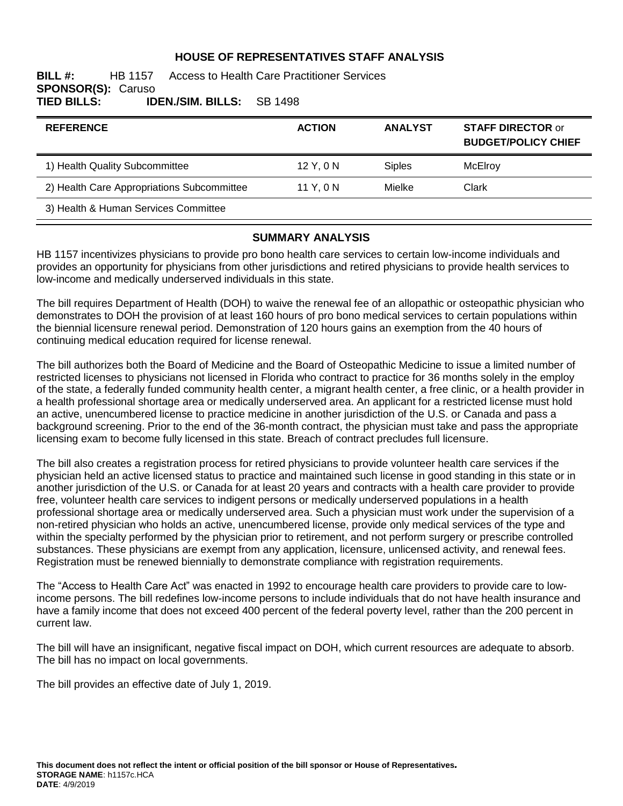### **HOUSE OF REPRESENTATIVES STAFF ANALYSIS**

#### **BILL #:** HB 1157 Access to Health Care Practitioner Services **SPONSOR(S): Caruso<br>TIED BILLS: ID TIED BILLS: IDEN./SIM. BILLS:** SB 1498

| <b>REFERENCE</b>                           | <b>ACTION</b> | <b>ANALYST</b> | <b>STAFF DIRECTOR or</b><br><b>BUDGET/POLICY CHIEF</b> |
|--------------------------------------------|---------------|----------------|--------------------------------------------------------|
| 1) Health Quality Subcommittee             | 12Y.0N        | <b>Siples</b>  | McElroy                                                |
| 2) Health Care Appropriations Subcommittee | 11 Y. 0 N     | Mielke         | Clark                                                  |
| 3) Health & Human Services Committee       |               |                |                                                        |

#### **SUMMARY ANALYSIS**

HB 1157 incentivizes physicians to provide pro bono health care services to certain low-income individuals and provides an opportunity for physicians from other jurisdictions and retired physicians to provide health services to low-income and medically underserved individuals in this state.

The bill requires Department of Health (DOH) to waive the renewal fee of an allopathic or osteopathic physician who demonstrates to DOH the provision of at least 160 hours of pro bono medical services to certain populations within the biennial licensure renewal period. Demonstration of 120 hours gains an exemption from the 40 hours of continuing medical education required for license renewal.

The bill authorizes both the Board of Medicine and the Board of Osteopathic Medicine to issue a limited number of restricted licenses to physicians not licensed in Florida who contract to practice for 36 months solely in the employ of the state, a federally funded community health center, a migrant health center, a free clinic, or a health provider in a health professional shortage area or medically underserved area. An applicant for a restricted license must hold an active, unencumbered license to practice medicine in another jurisdiction of the U.S. or Canada and pass a background screening. Prior to the end of the 36-month contract, the physician must take and pass the appropriate licensing exam to become fully licensed in this state. Breach of contract precludes full licensure.

The bill also creates a registration process for retired physicians to provide volunteer health care services if the physician held an active licensed status to practice and maintained such license in good standing in this state or in another jurisdiction of the U.S. or Canada for at least 20 years and contracts with a health care provider to provide free, volunteer health care services to indigent persons or medically underserved populations in a health professional shortage area or medically underserved area. Such a physician must work under the supervision of a non-retired physician who holds an active, unencumbered license, provide only medical services of the type and within the specialty performed by the physician prior to retirement, and not perform surgery or prescribe controlled substances. These physicians are exempt from any application, licensure, unlicensed activity, and renewal fees. Registration must be renewed biennially to demonstrate compliance with registration requirements.

The "Access to Health Care Act" was enacted in 1992 to encourage health care providers to provide care to lowincome persons. The bill redefines low-income persons to include individuals that do not have health insurance and have a family income that does not exceed 400 percent of the federal poverty level, rather than the 200 percent in current law.

The bill will have an insignificant, negative fiscal impact on DOH, which current resources are adequate to absorb. The bill has no impact on local governments.

The bill provides an effective date of July 1, 2019.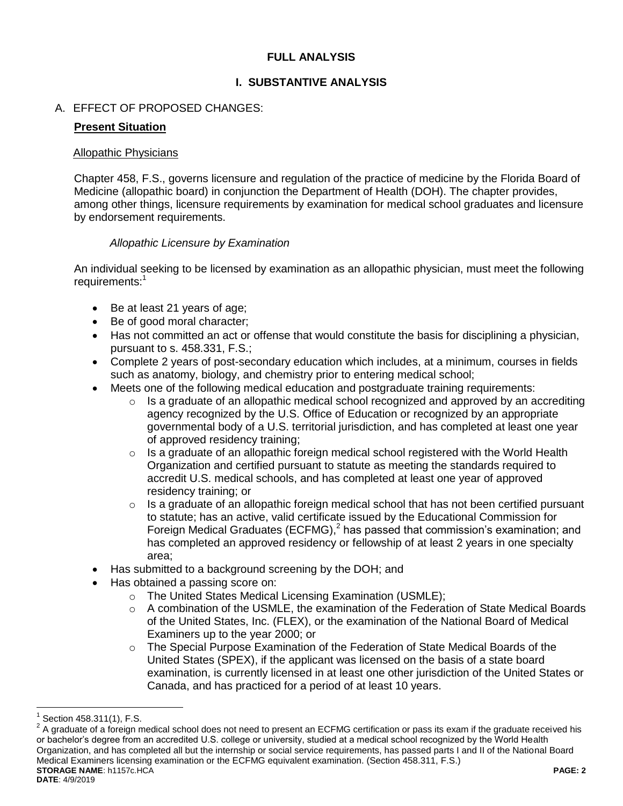# **FULL ANALYSIS**

# **I. SUBSTANTIVE ANALYSIS**

# A. EFFECT OF PROPOSED CHANGES:

### **Present Situation**

#### Allopathic Physicians

Chapter 458, F.S., governs licensure and regulation of the practice of medicine by the Florida Board of Medicine (allopathic board) in conjunction the Department of Health (DOH). The chapter provides, among other things, licensure requirements by examination for medical school graduates and licensure by endorsement requirements.

### *Allopathic Licensure by Examination*

An individual seeking to be licensed by examination as an allopathic physician, must meet the following requirements:<sup>1</sup>

- Be at least 21 years of age;
- Be of good moral character;
- Has not committed an act or offense that would constitute the basis for disciplining a physician, pursuant to s. 458.331, F.S.;
- Complete 2 years of post-secondary education which includes, at a minimum, courses in fields such as anatomy, biology, and chemistry prior to entering medical school;
- Meets one of the following medical education and postgraduate training requirements:
	- $\circ$  Is a graduate of an allopathic medical school recognized and approved by an accrediting agency recognized by the U.S. Office of Education or recognized by an appropriate governmental body of a U.S. territorial jurisdiction, and has completed at least one year of approved residency training;
	- o Is a graduate of an allopathic foreign medical school registered with the World Health Organization and certified pursuant to statute as meeting the standards required to accredit U.S. medical schools, and has completed at least one year of approved residency training; or
	- o Is a graduate of an allopathic foreign medical school that has not been certified pursuant to statute; has an active, valid certificate issued by the Educational Commission for Foreign Medical Graduates (ECFMG), $<sup>2</sup>$  has passed that commission's examination; and</sup> has completed an approved residency or fellowship of at least 2 years in one specialty area;
- Has submitted to a background screening by the DOH; and
- Has obtained a passing score on:
	- o The United States Medical Licensing Examination (USMLE);
	- $\circ$  A combination of the USMLE, the examination of the Federation of State Medical Boards of the United States, Inc. (FLEX), or the examination of the National Board of Medical Examiners up to the year 2000; or
	- o The Special Purpose Examination of the Federation of State Medical Boards of the United States (SPEX), if the applicant was licensed on the basis of a state board examination, is currently licensed in at least one other jurisdiction of the United States or Canada, and has practiced for a period of at least 10 years.

<sup>1</sup> Section 458.311(1), F.S.

**STORAGE NAME**: h1157c.HCA **PAGE: 2 DATE**: 4/9/2019  $2$  A graduate of a foreign medical school does not need to present an ECFMG certification or pass its exam if the graduate received his or bachelor's degree from an accredited U.S. college or university, studied at a medical school recognized by the World Health Organization, and has completed all but the internship or social service requirements, has passed parts I and II of the National Board Medical Examiners licensing examination or the ECFMG equivalent examination. (Section 458.311, F.S.)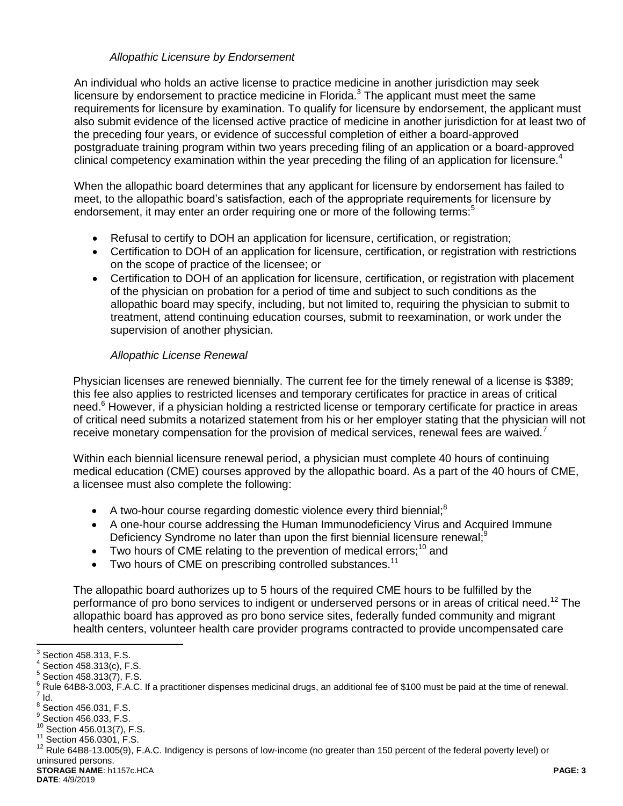### *Allopathic Licensure by Endorsement*

An individual who holds an active license to practice medicine in another jurisdiction may seek licensure by endorsement to practice medicine in Florida. $3$  The applicant must meet the same requirements for licensure by examination. To qualify for licensure by endorsement, the applicant must also submit evidence of the licensed active practice of medicine in another jurisdiction for at least two of the preceding four years, or evidence of successful completion of either a board-approved postgraduate training program within two years preceding filing of an application or a board-approved clinical competency examination within the year preceding the filing of an application for licensure.<sup>4</sup>

When the allopathic board determines that any applicant for licensure by endorsement has failed to meet, to the allopathic board's satisfaction, each of the appropriate requirements for licensure by endorsement, it may enter an order requiring one or more of the following terms:<sup>5</sup>

- Refusal to certify to DOH an application for licensure, certification, or registration;
- Certification to DOH of an application for licensure, certification, or registration with restrictions on the scope of practice of the licensee; or
- Certification to DOH of an application for licensure, certification, or registration with placement of the physician on probation for a period of time and subject to such conditions as the allopathic board may specify, including, but not limited to, requiring the physician to submit to treatment, attend continuing education courses, submit to reexamination, or work under the supervision of another physician.

# *Allopathic License Renewal*

Physician licenses are renewed biennially. The current fee for the timely renewal of a license is \$389; this fee also applies to restricted licenses and temporary certificates for practice in areas of critical need.<sup>6</sup> However, if a physician holding a restricted license or temporary certificate for practice in areas of critical need submits a notarized statement from his or her employer stating that the physician will not receive monetary compensation for the provision of medical services, renewal fees are waived.

Within each biennial licensure renewal period, a physician must complete 40 hours of continuing medical education (CME) courses approved by the allopathic board. As a part of the 40 hours of CME, a licensee must also complete the following:

- A two-hour course regarding domestic violence every third biennial;<sup>8</sup>
- A one-hour course addressing the Human Immunodeficiency Virus and Acquired Immune Deficiency Syndrome no later than upon the first biennial licensure renewal;<sup>9</sup>
- $\bullet$  Two hours of CME relating to the prevention of medical errors:<sup>10</sup> and
- $\bullet$  Two hours of CME on prescribing controlled substances.<sup>11</sup>

The allopathic board authorizes up to 5 hours of the required CME hours to be fulfilled by the performance of pro bono services to indigent or underserved persons or in areas of critical need.<sup>12</sup> The allopathic board has approved as pro bono service sites, federally funded community and migrant health centers, volunteer health care provider programs contracted to provide uncompensated care

 3 Section 458.313, F.S.

 $4$  Section 458.313(c), F.S.

 $5$  Section 458.313(7), F.S.

<sup>&</sup>lt;sup>6</sup> Rule 64B8-3.003, F.A.C. If a practitioner dispenses medicinal drugs, an additional fee of \$100 must be paid at the time of renewal.  $^7$  Id.

 $8$  Section 456.031, F.S.

 $^9$  Section 456.033, F.S.

<sup>10</sup> Section 456.013(7), F.S.

<sup>11</sup> Section 456.0301, F.S.

<sup>12</sup> Rule 64B8-13.005(9), F.A.C. Indigency is persons of low-income (no greater than 150 percent of the federal poverty level) or uninsured persons.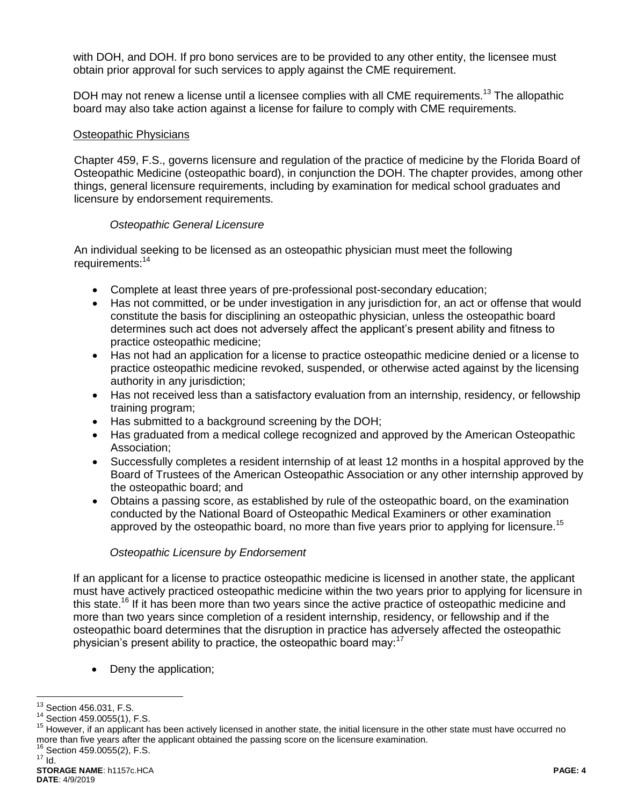with DOH, and DOH. If pro bono services are to be provided to any other entity, the licensee must obtain prior approval for such services to apply against the CME requirement.

DOH may not renew a license until a licensee complies with all CME requirements.<sup>13</sup> The allopathic board may also take action against a license for failure to comply with CME requirements.

#### Osteopathic Physicians

Chapter 459, F.S., governs licensure and regulation of the practice of medicine by the Florida Board of Osteopathic Medicine (osteopathic board), in conjunction the DOH. The chapter provides, among other things, general licensure requirements, including by examination for medical school graduates and licensure by endorsement requirements.

### *Osteopathic General Licensure*

An individual seeking to be licensed as an osteopathic physician must meet the following requirements:<sup>14</sup>

- Complete at least three years of pre-professional post-secondary education;
- Has not committed, or be under investigation in any jurisdiction for, an act or offense that would constitute the basis for disciplining an osteopathic physician, unless the osteopathic board determines such act does not adversely affect the applicant's present ability and fitness to practice osteopathic medicine;
- Has not had an application for a license to practice osteopathic medicine denied or a license to practice osteopathic medicine revoked, suspended, or otherwise acted against by the licensing authority in any jurisdiction;
- Has not received less than a satisfactory evaluation from an internship, residency, or fellowship training program;
- Has submitted to a background screening by the DOH;
- Has graduated from a medical college recognized and approved by the American Osteopathic Association;
- Successfully completes a resident internship of at least 12 months in a hospital approved by the Board of Trustees of the American Osteopathic Association or any other internship approved by the osteopathic board; and
- Obtains a passing score, as established by rule of the osteopathic board, on the examination conducted by the National Board of Osteopathic Medical Examiners or other examination approved by the osteopathic board, no more than five years prior to applying for licensure.<sup>15</sup>

### *Osteopathic Licensure by Endorsement*

If an applicant for a license to practice osteopathic medicine is licensed in another state, the applicant must have actively practiced osteopathic medicine within the two years prior to applying for licensure in this state.<sup>16</sup> If it has been more than two years since the active practice of osteopathic medicine and more than two years since completion of a resident internship, residency, or fellowship and if the osteopathic board determines that the disruption in practice has adversely affected the osteopathic physician's present ability to practice, the osteopathic board may:  $17$ 

Deny the application;

 $16$  Section 459.0055(2), F.S.

 $\overline{a}$  $13$  Section 456.031, F.S.

<sup>14</sup> Section 459.0055(1), F.S.

<sup>&</sup>lt;sup>15</sup> However, if an applicant has been actively licensed in another state, the initial licensure in the other state must have occurred no more than five years after the applicant obtained the passing score on the licensure examination.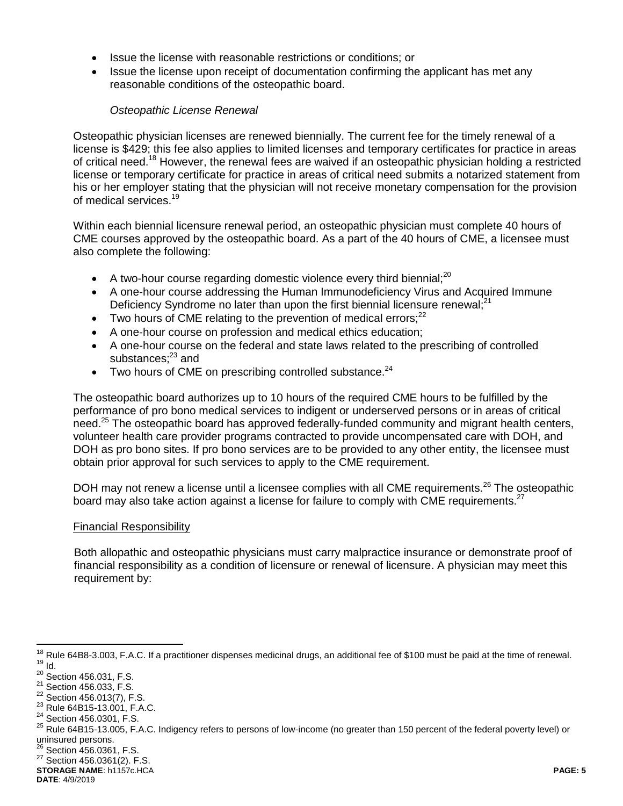- Issue the license with reasonable restrictions or conditions; or
- Issue the license upon receipt of documentation confirming the applicant has met any reasonable conditions of the osteopathic board.

### *Osteopathic License Renewal*

Osteopathic physician licenses are renewed biennially. The current fee for the timely renewal of a license is \$429; this fee also applies to limited licenses and temporary certificates for practice in areas of critical need.<sup>18</sup> However, the renewal fees are waived if an osteopathic physician holding a restricted license or temporary certificate for practice in areas of critical need submits a notarized statement from his or her employer stating that the physician will not receive monetary compensation for the provision of medical services.<sup>19</sup>

Within each biennial licensure renewal period, an osteopathic physician must complete 40 hours of CME courses approved by the osteopathic board. As a part of the 40 hours of CME, a licensee must also complete the following:

- A two-hour course regarding domestic violence every third biennial;<sup>20</sup>
- A one-hour course addressing the Human Immunodeficiency Virus and Acquired Immune Deficiency Syndrome no later than upon the first biennial licensure renewal;<sup>21</sup>
- $\bullet$  Two hours of CME relating to the prevention of medical errors:<sup>22</sup>
- A one-hour course on profession and medical ethics education;
- A one-hour course on the federal and state laws related to the prescribing of controlled substances; $^{23}$  and
- $\bullet$  Two hours of CME on prescribing controlled substance.<sup>24</sup>

The osteopathic board authorizes up to 10 hours of the required CME hours to be fulfilled by the performance of pro bono medical services to indigent or underserved persons or in areas of critical need.<sup>25</sup> The osteopathic board has approved federally-funded community and migrant health centers, volunteer health care provider programs contracted to provide uncompensated care with DOH, and DOH as pro bono sites. If pro bono services are to be provided to any other entity, the licensee must obtain prior approval for such services to apply to the CME requirement.

DOH may not renew a license until a licensee complies with all CME requirements.<sup>26</sup> The osteopathic board may also take action against a license for failure to comply with CME requirements.<sup>27</sup>

#### Financial Responsibility

Both allopathic and osteopathic physicians must carry malpractice insurance or demonstrate proof of financial responsibility as a condition of licensure or renewal of licensure. A physician may meet this requirement by:

 $\overline{a}$  $18$  Rule 64B8-3.003, F.A.C. If a practitioner dispenses medicinal drugs, an additional fee of \$100 must be paid at the time of renewal.  $19$  Id.

 $20$  Section 456.031, F.S.

<sup>21</sup> Section 456.033, F.S.

<sup>&</sup>lt;sup>22</sup> Section 456.013(7), F.S.

<sup>23</sup> Rule 64B15-13.001, F.A.C.

<sup>&</sup>lt;sup>24</sup> Section 456.0301, F.S.

<sup>&</sup>lt;sup>25</sup> Rule 64B15-13.005, F.A.C. Indigency refers to persons of low-income (no greater than 150 percent of the federal poverty level) or uninsured persons.

 $^{26}$  Section 456.0361, F.S.

<sup>27</sup> Section 456.0361(2). F.S.

**STORAGE NAME**: h1157c.HCA **PAGE: 5 DATE**: 4/9/2019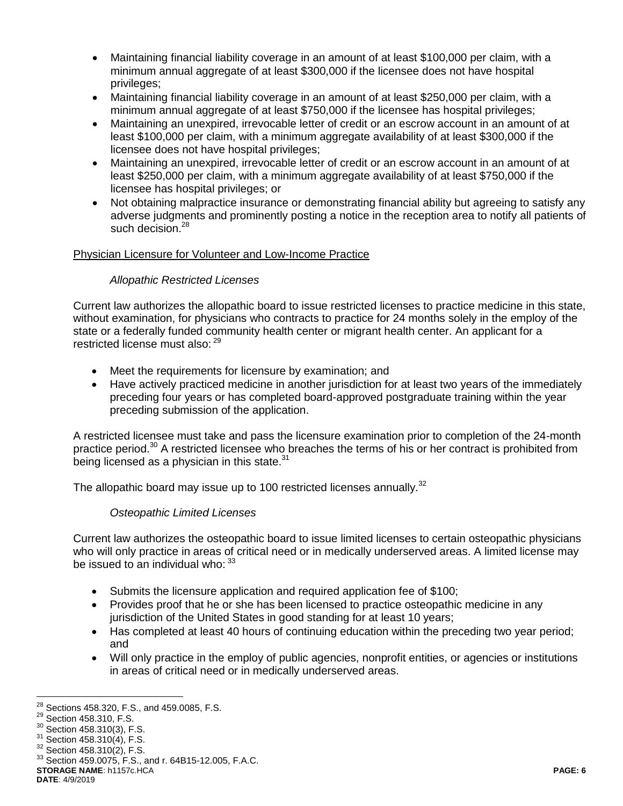- Maintaining financial liability coverage in an amount of at least \$100,000 per claim, with a minimum annual aggregate of at least \$300,000 if the licensee does not have hospital privileges;
- Maintaining financial liability coverage in an amount of at least \$250,000 per claim, with a minimum annual aggregate of at least \$750,000 if the licensee has hospital privileges;
- Maintaining an unexpired, irrevocable letter of credit or an escrow account in an amount of at least \$100,000 per claim, with a minimum aggregate availability of at least \$300,000 if the licensee does not have hospital privileges;
- Maintaining an unexpired, irrevocable letter of credit or an escrow account in an amount of at least \$250,000 per claim, with a minimum aggregate availability of at least \$750,000 if the licensee has hospital privileges; or
- Not obtaining malpractice insurance or demonstrating financial ability but agreeing to satisfy any adverse judgments and prominently posting a notice in the reception area to notify all patients of such decision.<sup>28</sup>

# Physician Licensure for Volunteer and Low-Income Practice

# *Allopathic Restricted Licenses*

Current law authorizes the allopathic board to issue restricted licenses to practice medicine in this state, without examination, for physicians who contracts to practice for 24 months solely in the employ of the state or a federally funded community health center or migrant health center. An applicant for a restricted license must also: <sup>29</sup>

- Meet the requirements for licensure by examination; and
- Have actively practiced medicine in another jurisdiction for at least two years of the immediately preceding four years or has completed board-approved postgraduate training within the year preceding submission of the application.

A restricted licensee must take and pass the licensure examination prior to completion of the 24-month practice period.<sup>30</sup> A restricted licensee who breaches the terms of his or her contract is prohibited from being licensed as a physician in this state. $31$ 

The allopathic board may issue up to 100 restricted licenses annually.<sup>32</sup>

### *Osteopathic Limited Licenses*

Current law authorizes the osteopathic board to issue limited licenses to certain osteopathic physicians who will only practice in areas of critical need or in medically underserved areas. A limited license may be issued to an individual who:  $33$ 

- Submits the licensure application and required application fee of \$100;
- Provides proof that he or she has been licensed to practice osteopathic medicine in any jurisdiction of the United States in good standing for at least 10 years;
- Has completed at least 40 hours of continuing education within the preceding two year period; and
- Will only practice in the employ of public agencies, nonprofit entities, or agencies or institutions in areas of critical need or in medically underserved areas.

**DATE**: 4/9/2019

 $\overline{a}$  $^{28}$  Sections 458.320, F.S., and 459.0085, F.S.

<sup>&</sup>lt;sup>29</sup> Section 458.310, F.S.

<sup>30</sup> Section 458.310(3), F.S.

<sup>&</sup>lt;sup>31</sup> Section 458.310(4), F.S.

<sup>32</sup> Section 458.310(2), F.S.

**STORAGE NAME**: h1157c.HCA **PAGE: 6** <sup>33</sup> Section 459.0075, F.S., and r. 64B15-12.005, F.A.C.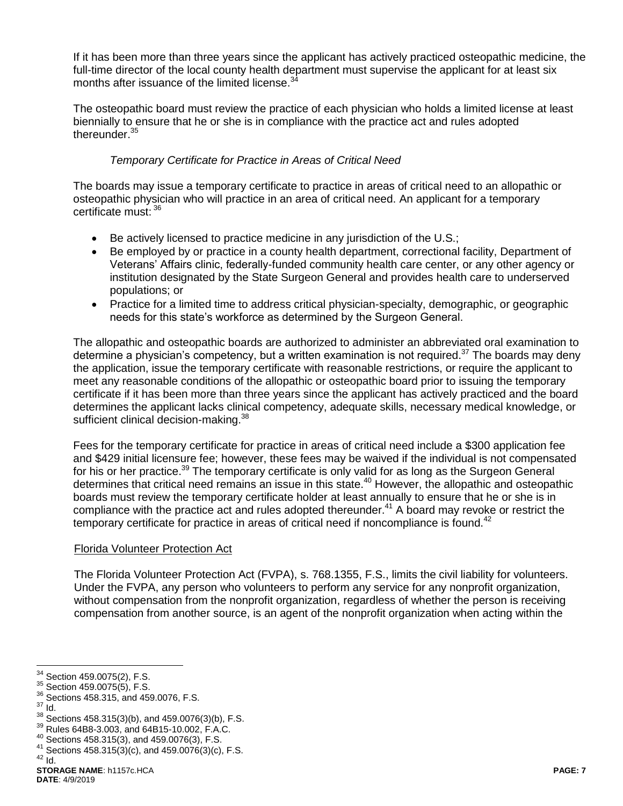If it has been more than three years since the applicant has actively practiced osteopathic medicine, the full-time director of the local county health department must supervise the applicant for at least six months after issuance of the limited license.<sup>3</sup>

The osteopathic board must review the practice of each physician who holds a limited license at least biennially to ensure that he or she is in compliance with the practice act and rules adopted thereunder.<sup>35</sup>

### *Temporary Certificate for Practice in Areas of Critical Need*

The boards may issue a temporary certificate to practice in areas of critical need to an allopathic or osteopathic physician who will practice in an area of critical need. An applicant for a temporary certificate must: <sup>36</sup>

- Be actively licensed to practice medicine in any jurisdiction of the U.S.;
- Be employed by or practice in a county health department, correctional facility, Department of Veterans' Affairs clinic, federally-funded community health care center, or any other agency or institution designated by the State Surgeon General and provides health care to underserved populations; or
- Practice for a limited time to address critical physician-specialty, demographic, or geographic needs for this state's workforce as determined by the Surgeon General.

The allopathic and osteopathic boards are authorized to administer an abbreviated oral examination to determine a physician's competency, but a written examination is not required.<sup>37</sup> The boards may deny the application, issue the temporary certificate with reasonable restrictions, or require the applicant to meet any reasonable conditions of the allopathic or osteopathic board prior to issuing the temporary certificate if it has been more than three years since the applicant has actively practiced and the board determines the applicant lacks clinical competency, adequate skills, necessary medical knowledge, or sufficient clinical decision-making.<sup>38</sup>

Fees for the temporary certificate for practice in areas of critical need include a \$300 application fee and \$429 initial licensure fee; however, these fees may be waived if the individual is not compensated for his or her practice.<sup>39</sup> The temporary certificate is only valid for as long as the Surgeon General determines that critical need remains an issue in this state.<sup>40</sup> However, the allopathic and osteopathic boards must review the temporary certificate holder at least annually to ensure that he or she is in compliance with the practice act and rules adopted thereunder.<sup>41</sup> A board may revoke or restrict the temporary certificate for practice in areas of critical need if noncompliance is found.<sup>42</sup>

#### Florida Volunteer Protection Act

The Florida Volunteer Protection Act (FVPA), s. 768.1355, F.S., limits the civil liability for volunteers. Under the FVPA, any person who volunteers to perform any service for any nonprofit organization, without compensation from the nonprofit organization, regardless of whether the person is receiving compensation from another source, is an agent of the nonprofit organization when acting within the

 $37$   $\mathrm{Id}$ .

 $\overline{a}$ 

 $42$  Id.

Section 459.0075(2), F.S.

<sup>35</sup> Section 459.0075(5), F.S.

<sup>36</sup> Sections 458.315, and 459.0076, F.S.

 $38$  Sections 458.315(3)(b), and 459.0076(3)(b), F.S.

<sup>39</sup> Rules 64B8-3.003, and 64B15-10.002, F.A.C.

<sup>40</sup> Sections 458.315(3), and 459.0076(3), F.S.

 $41$  Sections  $458.315(3)(c)$ , and  $459.0076(3)(c)$ , F.S.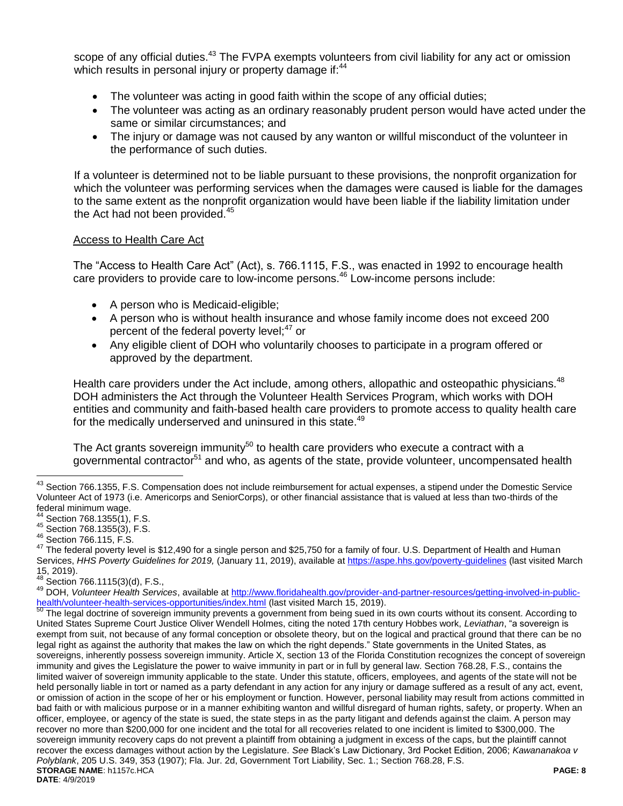scope of any official duties.<sup>43</sup> The FVPA exempts volunteers from civil liability for any act or omission which results in personal injury or property damage if:<sup>44</sup>

- The volunteer was acting in good faith within the scope of any official duties;
- The volunteer was acting as an ordinary reasonably prudent person would have acted under the same or similar circumstances; and
- The injury or damage was not caused by any wanton or willful misconduct of the volunteer in the performance of such duties.

If a volunteer is determined not to be liable pursuant to these provisions, the nonprofit organization for which the volunteer was performing services when the damages were caused is liable for the damages to the same extent as the nonprofit organization would have been liable if the liability limitation under the Act had not been provided.<sup>45</sup>

### Access to Health Care Act

The "Access to Health Care Act" (Act), s. 766.1115, F.S., was enacted in 1992 to encourage health care providers to provide care to low-income persons.<sup>46</sup> Low-income persons include:

- A person who is Medicaid-eligible;
- A person who is without health insurance and whose family income does not exceed 200 percent of the federal poverty level;<sup>47</sup> or
- Any eligible client of DOH who voluntarily chooses to participate in a program offered or approved by the department.

Health care providers under the Act include, among others, allopathic and osteopathic physicians.<sup>48</sup> DOH administers the Act through the Volunteer Health Services Program, which works with DOH entities and community and faith-based health care providers to promote access to quality health care for the medically underserved and uninsured in this state.<sup>49</sup>

The Act grants sovereign immunity<sup>50</sup> to health care providers who execute a contract with a governmental contractor<sup>51</sup> and who, as agents of the state, provide volunteer, uncompensated health

<sup>&</sup>lt;sup>43</sup> Section 766.1355, F.S. Compensation does not include reimbursement for actual expenses, a stipend under the Domestic Service Volunteer Act of 1973 (i.e. Americorps and SeniorCorps), or other financial assistance that is valued at less than two-thirds of the federal minimum wage.

Section 768.1355(1), F.S.

<sup>45</sup> Section 768.1355(3), F.S.

<sup>46</sup> Section 766.115, F.S.

<sup>&</sup>lt;sup>47</sup> The federal poverty level is \$12,490 for a single person and \$25,750 for a family of four. U.S. Department of Health and Human Services, *HHS Poverty Guidelines for 2019,* (January 11, 2019), available a[t https://aspe.hhs.gov/poverty-guidelines](https://aspe.hhs.gov/poverty-guidelines) (last visited March  $15, 2019$ ).

Section 766.1115(3)(d), F.S.,

<sup>49</sup> DOH, *Volunteer Health Services*, available at [http://www.floridahealth.gov/provider-and-partner-resources/getting-involved-in-public](http://www.floridahealth.gov/provider-and-partner-resources/getting-involved-in-public-health/volunteer-health-services-opportunities/index.html)[health/volunteer-health-services-opportunities/index.html](http://www.floridahealth.gov/provider-and-partner-resources/getting-involved-in-public-health/volunteer-health-services-opportunities/index.html) (last visited March 15, 2019).<br>50 The legal doctring of access opportunities/index.html (last visited March 15, 2019).

**STORAGE NAME**: h1157c.HCA **PAGE: 8 DATE**: 4/9/2019 The legal doctrine of sovereign immunity prevents a government from being sued in its own courts without its consent. According to United States Supreme Court Justice Oliver Wendell Holmes, citing the noted 17th century Hobbes work, *Leviathan*, "a sovereign is exempt from suit, not because of any formal conception or obsolete theory, but on the logical and practical ground that there can be no legal right as against the authority that makes the law on which the right depends." State governments in the United States, as sovereigns, inherently possess sovereign immunity. Article X, section 13 of the Florida Constitution recognizes the concept of sovereign immunity and gives the Legislature the power to waive immunity in part or in full by general law. Section 768.28, F.S., contains the limited waiver of sovereign immunity applicable to the state. Under this statute, officers, employees, and agents of the state will not be held personally liable in tort or named as a party defendant in any action for any injury or damage suffered as a result of any act, event, or omission of action in the scope of her or his employment or function. However, personal liability may result from actions committed in bad faith or with malicious purpose or in a manner exhibiting wanton and willful disregard of human rights, safety, or property. When an officer, employee, or agency of the state is sued, the state steps in as the party litigant and defends against the claim. A person may recover no more than \$200,000 for one incident and the total for all recoveries related to one incident is limited to \$300,000. The sovereign immunity recovery caps do not prevent a plaintiff from obtaining a judgment in excess of the caps, but the plaintiff cannot recover the excess damages without action by the Legislature. *See* Black's Law Dictionary, 3rd Pocket Edition, 2006; *Kawananakoa v Polyblank*, 205 U.S. 349, 353 (1907); Fla. Jur. 2d, Government Tort Liability, Sec. 1.; Section 768.28, F.S.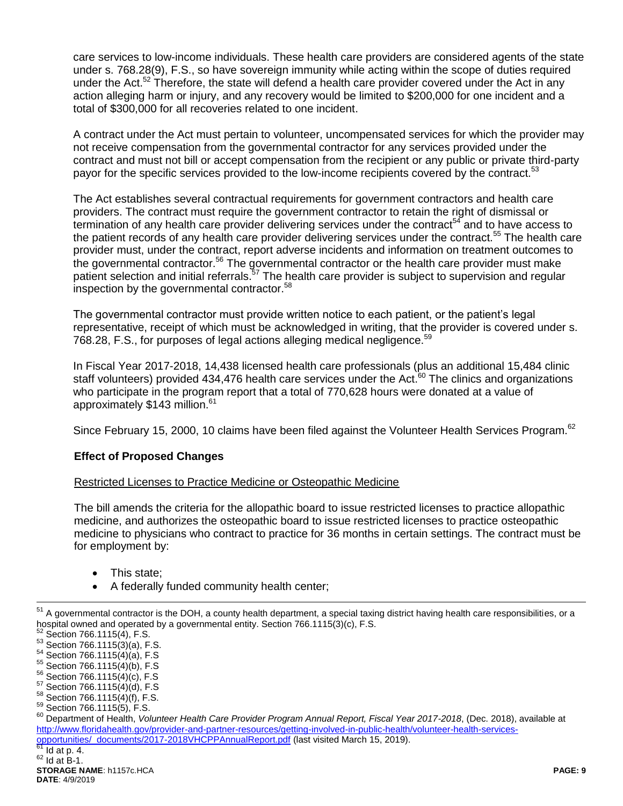care services to low-income individuals. These health care providers are considered agents of the state under s. 768.28(9), F.S., so have sovereign immunity while acting within the scope of duties required under the Act.<sup>52</sup> Therefore, the state will defend a health care provider covered under the Act in any action alleging harm or injury, and any recovery would be limited to \$200,000 for one incident and a total of \$300,000 for all recoveries related to one incident.

A contract under the Act must pertain to volunteer, uncompensated services for which the provider may not receive compensation from the governmental contractor for any services provided under the contract and must not bill or accept compensation from the recipient or any public or private third-party payor for the specific services provided to the low-income recipients covered by the contract.<sup>53</sup>

The Act establishes several contractual requirements for government contractors and health care providers. The contract must require the government contractor to retain the right of dismissal or termination of any health care provider delivering services under the contract<sup>54</sup> and to have access to the patient records of any health care provider delivering services under the contract.<sup>55</sup> The health care provider must, under the contract, report adverse incidents and information on treatment outcomes to the governmental contractor.<sup>56</sup> The governmental contractor or the health care provider must make patient selection and initial referrals.<sup>57</sup> The health care provider is subject to supervision and regular inspection by the governmental contractor.<sup>58</sup>

The governmental contractor must provide written notice to each patient, or the patient's legal representative, receipt of which must be acknowledged in writing, that the provider is covered under s. 768.28, F.S., for purposes of legal actions alleging medical negligence.<sup>59</sup>

In Fiscal Year 2017-2018, 14,438 licensed health care professionals (plus an additional 15,484 clinic staff volunteers) provided 434,476 health care services under the Act. $60$  The clinics and organizations who participate in the program report that a total of 770,628 hours were donated at a value of approximately \$143 million.<sup>61</sup>

Since February 15, 2000, 10 claims have been filed against the Volunteer Health Services Program.<sup>62</sup>

### **Effect of Proposed Changes**

### Restricted Licenses to Practice Medicine or Osteopathic Medicine

The bill amends the criteria for the allopathic board to issue restricted licenses to practice allopathic medicine, and authorizes the osteopathic board to issue restricted licenses to practice osteopathic medicine to physicians who contract to practice for 36 months in certain settings. The contract must be for employment by:

- This state;
- A federally funded community health center;

 $^{51}$  A governmental contractor is the DOH, a county health department, a special taxing district having health care responsibilities, or a hospital owned and operated by a governmental entity. Section 766.1115(3)(c), F.S.

Section 766.1115(4), F.S.  $53$  Section 766.1115(3)(a), F.S.

<sup>54</sup> Section 766.1115(4)(a), F.S

<sup>55</sup> Section 766.1115(4)(b), F.S

<sup>56</sup> Section 766.1115(4)(c), F.S

<sup>57</sup> Section 766.1115(4)(d), F.S

<sup>58</sup> Section 766.1115(4)(f), F.S.

<sup>59</sup> Section 766.1115(5), F.S.

<sup>60</sup> Department of Health, *Volunteer Health Care Provider Program Annual Report, Fiscal Year 2017-2018*, (Dec. 2018), available at [http://www.floridahealth.gov/provider-and-partner-resources/getting-involved-in-public-health/volunteer-health-services](http://www.floridahealth.gov/provider-and-partner-resources/getting-involved-in-public-health/volunteer-health-services-opportunities/_documents/2017-2018VHCPPAnnualReport.pdf)[opportunities/\\_documents/2017-2018VHCPPAnnualReport.pdf](http://www.floridahealth.gov/provider-and-partner-resources/getting-involved-in-public-health/volunteer-health-services-opportunities/_documents/2017-2018VHCPPAnnualReport.pdf) (last visited March 15, 2019).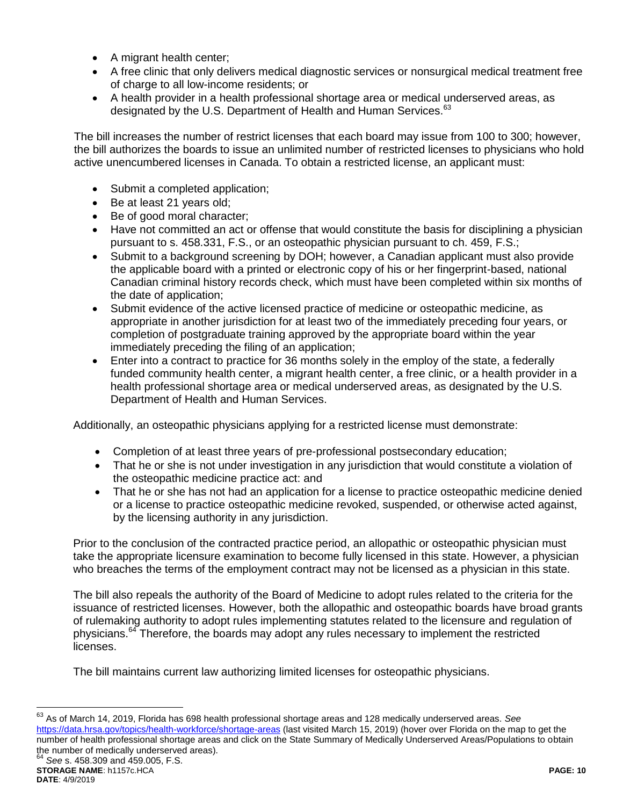- A migrant health center;
- A free clinic that only delivers medical diagnostic services or nonsurgical medical treatment free of charge to all low-income residents; or
- A health provider in a health professional shortage area or medical underserved areas, as designated by the U.S. Department of Health and Human Services.<sup>63</sup>

The bill increases the number of restrict licenses that each board may issue from 100 to 300; however, the bill authorizes the boards to issue an unlimited number of restricted licenses to physicians who hold active unencumbered licenses in Canada. To obtain a restricted license, an applicant must:

- Submit a completed application;
- Be at least 21 years old;
- Be of good moral character;
- Have not committed an act or offense that would constitute the basis for disciplining a physician pursuant to s. 458.331, F.S., or an osteopathic physician pursuant to ch. 459, F.S.;
- Submit to a background screening by DOH; however, a Canadian applicant must also provide the applicable board with a printed or electronic copy of his or her fingerprint-based, national Canadian criminal history records check, which must have been completed within six months of the date of application;
- Submit evidence of the active licensed practice of medicine or osteopathic medicine, as appropriate in another jurisdiction for at least two of the immediately preceding four years, or completion of postgraduate training approved by the appropriate board within the year immediately preceding the filing of an application;
- Enter into a contract to practice for 36 months solely in the employ of the state, a federally funded community health center, a migrant health center, a free clinic, or a health provider in a health professional shortage area or medical underserved areas, as designated by the U.S. Department of Health and Human Services.

Additionally, an osteopathic physicians applying for a restricted license must demonstrate:

- Completion of at least three years of pre-professional postsecondary education;
- That he or she is not under investigation in any jurisdiction that would constitute a violation of the osteopathic medicine practice act: and
- That he or she has not had an application for a license to practice osteopathic medicine denied or a license to practice osteopathic medicine revoked, suspended, or otherwise acted against, by the licensing authority in any jurisdiction.

Prior to the conclusion of the contracted practice period, an allopathic or osteopathic physician must take the appropriate licensure examination to become fully licensed in this state. However, a physician who breaches the terms of the employment contract may not be licensed as a physician in this state.

The bill also repeals the authority of the Board of Medicine to adopt rules related to the criteria for the issuance of restricted licenses. However, both the allopathic and osteopathic boards have broad grants of rulemaking authority to adopt rules implementing statutes related to the licensure and regulation of physicians.<sup>64</sup> Therefore, the boards may adopt any rules necessary to implement the restricted licenses.

The bill maintains current law authorizing limited licenses for osteopathic physicians.

**STORAGE NAME**: h1157c.HCA **PAGE: 10** <sup>64</sup> *See* s. 458.309 and 459.005, F.S.

<sup>63</sup> As of March 14, 2019, Florida has 698 health professional shortage areas and 128 medically underserved areas. *See*  <https://data.hrsa.gov/topics/health-workforce/shortage-areas> (last visited March 15, 2019) (hover over Florida on the map to get the number of health professional shortage areas and click on the State Summary of Medically Underserved Areas/Populations to obtain the number of medically underserved areas).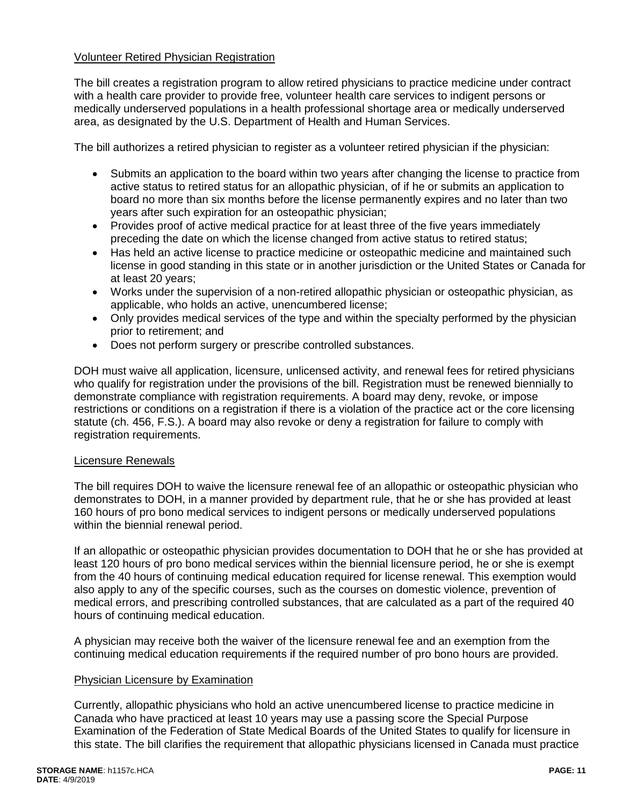### Volunteer Retired Physician Registration

The bill creates a registration program to allow retired physicians to practice medicine under contract with a health care provider to provide free, volunteer health care services to indigent persons or medically underserved populations in a health professional shortage area or medically underserved area, as designated by the U.S. Department of Health and Human Services.

The bill authorizes a retired physician to register as a volunteer retired physician if the physician:

- Submits an application to the board within two years after changing the license to practice from active status to retired status for an allopathic physician, of if he or submits an application to board no more than six months before the license permanently expires and no later than two years after such expiration for an osteopathic physician;
- Provides proof of active medical practice for at least three of the five years immediately preceding the date on which the license changed from active status to retired status;
- Has held an active license to practice medicine or osteopathic medicine and maintained such license in good standing in this state or in another jurisdiction or the United States or Canada for at least 20 years;
- Works under the supervision of a non-retired allopathic physician or osteopathic physician, as applicable, who holds an active, unencumbered license;
- Only provides medical services of the type and within the specialty performed by the physician prior to retirement; and
- Does not perform surgery or prescribe controlled substances.

DOH must waive all application, licensure, unlicensed activity, and renewal fees for retired physicians who qualify for registration under the provisions of the bill. Registration must be renewed biennially to demonstrate compliance with registration requirements. A board may deny, revoke, or impose restrictions or conditions on a registration if there is a violation of the practice act or the core licensing statute (ch. 456, F.S.). A board may also revoke or deny a registration for failure to comply with registration requirements.

#### Licensure Renewals

The bill requires DOH to waive the licensure renewal fee of an allopathic or osteopathic physician who demonstrates to DOH, in a manner provided by department rule, that he or she has provided at least 160 hours of pro bono medical services to indigent persons or medically underserved populations within the biennial renewal period.

If an allopathic or osteopathic physician provides documentation to DOH that he or she has provided at least 120 hours of pro bono medical services within the biennial licensure period, he or she is exempt from the 40 hours of continuing medical education required for license renewal. This exemption would also apply to any of the specific courses, such as the courses on domestic violence, prevention of medical errors, and prescribing controlled substances, that are calculated as a part of the required 40 hours of continuing medical education.

A physician may receive both the waiver of the licensure renewal fee and an exemption from the continuing medical education requirements if the required number of pro bono hours are provided.

#### Physician Licensure by Examination

Currently, allopathic physicians who hold an active unencumbered license to practice medicine in Canada who have practiced at least 10 years may use a passing score the Special Purpose Examination of the Federation of State Medical Boards of the United States to qualify for licensure in this state. The bill clarifies the requirement that allopathic physicians licensed in Canada must practice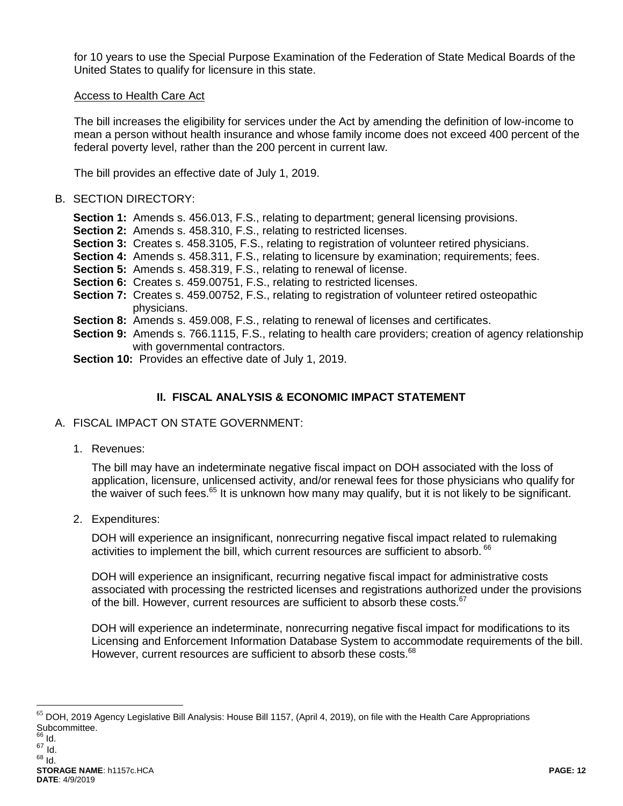for 10 years to use the Special Purpose Examination of the Federation of State Medical Boards of the United States to qualify for licensure in this state.

### Access to Health Care Act

The bill increases the eligibility for services under the Act by amending the definition of low-income to mean a person without health insurance and whose family income does not exceed 400 percent of the federal poverty level, rather than the 200 percent in current law.

The bill provides an effective date of July 1, 2019.

#### B. SECTION DIRECTORY:

- **Section 1:** Amends s. 456.013, F.S., relating to department; general licensing provisions.
- **Section 2:** Amends s. 458.310, F.S., relating to restricted licenses.
- **Section 3:** Creates s. 458.3105, F.S., relating to registration of volunteer retired physicians.
- **Section 4:** Amends s. 458.311, F.S., relating to licensure by examination; requirements; fees.
- **Section 5:** Amends s. 458.319, F.S., relating to renewal of license.
- **Section 6:** Creates s. 459.00751, F.S., relating to restricted licenses.
- **Section 7:** Creates s. 459.00752, F.S., relating to registration of volunteer retired osteopathic physicians.
- **Section 8:** Amends s. 459.008, F.S., relating to renewal of licenses and certificates.
- **Section 9:** Amends s. 766.1115, F.S., relating to health care providers; creation of agency relationship with governmental contractors.
- **Section 10:** Provides an effective date of July 1, 2019.

# **II. FISCAL ANALYSIS & ECONOMIC IMPACT STATEMENT**

- A. FISCAL IMPACT ON STATE GOVERNMENT:
	- 1. Revenues:

The bill may have an indeterminate negative fiscal impact on DOH associated with the loss of application, licensure, unlicensed activity, and/or renewal fees for those physicians who qualify for the waiver of such fees.<sup>65</sup> It is unknown how many may qualify, but it is not likely to be significant.

2. Expenditures:

DOH will experience an insignificant, nonrecurring negative fiscal impact related to rulemaking activities to implement the bill, which current resources are sufficient to absorb. <sup>66</sup>

DOH will experience an insignificant, recurring negative fiscal impact for administrative costs associated with processing the restricted licenses and registrations authorized under the provisions of the bill. However, current resources are sufficient to absorb these costs.<sup>67</sup>

DOH will experience an indeterminate, nonrecurring negative fiscal impact for modifications to its Licensing and Enforcement Information Database System to accommodate requirements of the bill. However, current resources are sufficient to absorb these costs.<sup>68</sup>

 $65$  DOH, 2019 Agency Legislative Bill Analysis: House Bill 1157, (April 4, 2019), on file with the Health Care Appropriations Subcommittee.  $66$  Id.